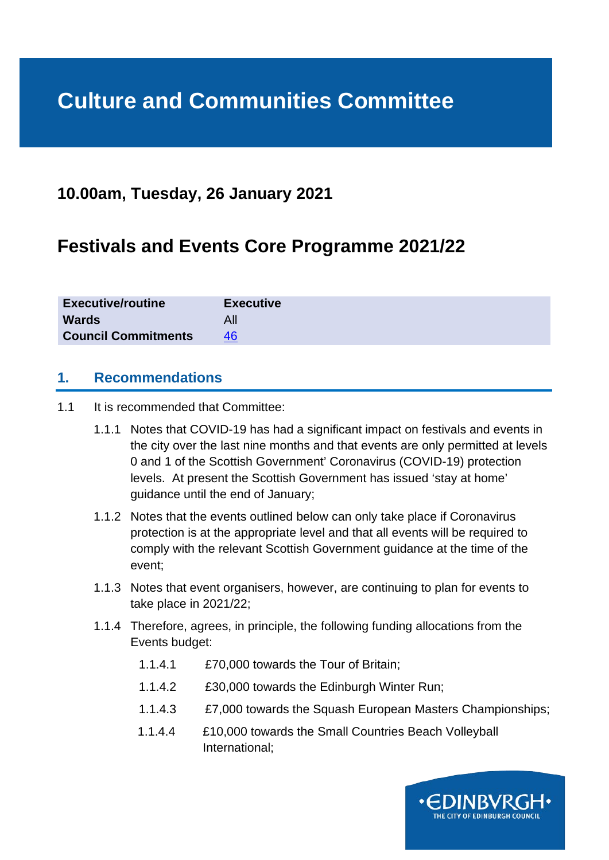# **Culture and Communities Committee**

# **10.00am, Tuesday, 26 January 2021**

# **Festivals and Events Core Programme 2021/22**

| <b>Executive/routine</b>   | <b>Executive</b> |
|----------------------------|------------------|
| <b>Wards</b>               | All              |
| <b>Council Commitments</b> | 46               |

#### **1. Recommendations**

- 1.1 It is recommended that Committee:
	- 1.1.1 Notes that COVID-19 has had a significant impact on festivals and events in the city over the last nine months and that events are only permitted at levels 0 and 1 of the Scottish Government' Coronavirus (COVID-19) protection levels. At present the Scottish Government has issued 'stay at home' guidance until the end of January;
	- 1.1.2 Notes that the events outlined below can only take place if Coronavirus protection is at the appropriate level and that all events will be required to comply with the relevant Scottish Government guidance at the time of the event;
	- 1.1.3 Notes that event organisers, however, are continuing to plan for events to take place in 2021/22;
	- 1.1.4 Therefore, agrees, in principle, the following funding allocations from the Events budget:
		- 1.1.4.1 £70,000 towards the Tour of Britain;
		- 1.1.4.2 £30,000 towards the Edinburgh Winter Run;
		- 1.1.4.3 £7,000 towards the Squash European Masters Championships;
		- 1.1.4.4 £10,000 towards the Small Countries Beach Volleyball International;

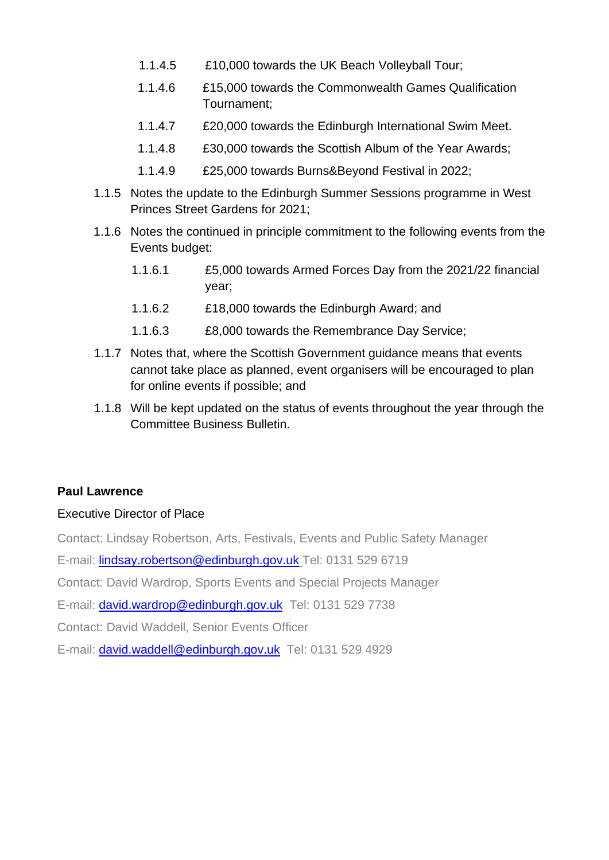- 1.1.4.5 £10,000 towards the UK Beach Volleyball Tour;
- 1.1.4.6 £15,000 towards the Commonwealth Games Qualification Tournament;
- 1.1.4.7 £20,000 towards the Edinburgh International Swim Meet.
- 1.1.4.8 £30,000 towards the Scottish Album of the Year Awards;
- 1.1.4.9 £25,000 towards Burns&Beyond Festival in 2022;
- 1.1.5 Notes the update to the Edinburgh Summer Sessions programme in West Princes Street Gardens for 2021;
- 1.1.6 Notes the continued in principle commitment to the following events from the Events budget:
	- 1.1.6.1 £5,000 towards Armed Forces Day from the 2021/22 financial year;
	- 1.1.6.2 £18,000 towards the Edinburgh Award; and
	- 1.1.6.3 £8,000 towards the Remembrance Day Service;
- 1.1.7 Notes that, where the Scottish Government guidance means that events cannot take place as planned, event organisers will be encouraged to plan for online events if possible; and
- 1.1.8 Will be kept updated on the status of events throughout the year through the Committee Business Bulletin.

#### **Paul Lawrence**

#### Executive Director of Place

Contact: Lindsay Robertson, Arts, Festivals, Events and Public Safety Manager

E-mail: [lindsay.robertson@edinburgh.gov.uk](mailto:lindsay.robertson@edinburgh.gov.uk) Tel: 0131 529 6719

Contact: David Wardrop, Sports Events and Special Projects Manager

E-mail: [david.wardrop@edinburgh.gov.uk](mailto:David.wardrop@edinburgh.gov.uk) Tel: 0131 529 7738

Contact: David Waddell, Senior Events Officer

E-mail: [david.waddell@edinburgh.gov.uk](mailto:david.waddell@edinburgh.gov.uk) Tel: 0131 529 4929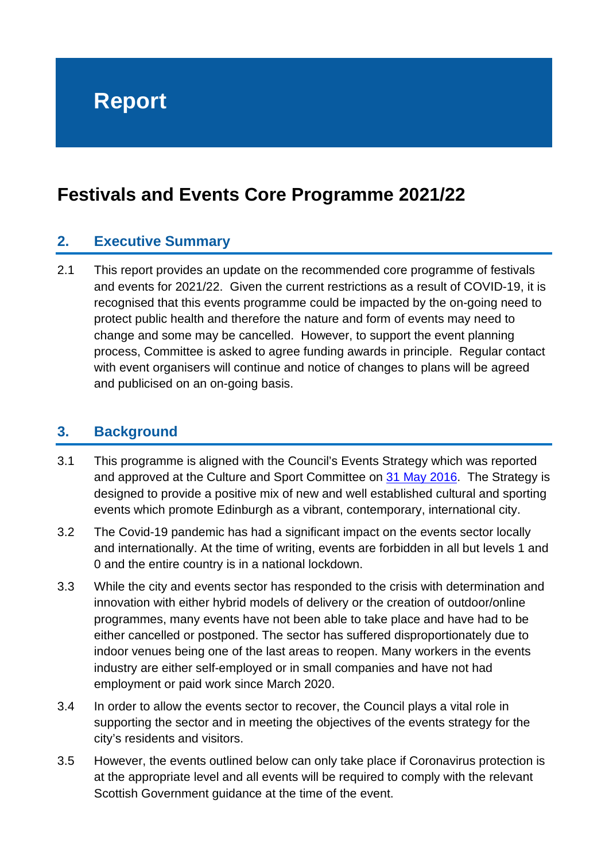# **Festivals and Events Core Programme 2021/22**

# **2. Executive Summary**

2.1 This report provides an update on the recommended core programme of festivals and events for 2021/22. Given the current restrictions as a result of COVID-19, it is recognised that this events programme could be impacted by the on-going need to protect public health and therefore the nature and form of events may need to change and some may be cancelled. However, to support the event planning process, Committee is asked to agree funding awards in principle. Regular contact with event organisers will continue and notice of changes to plans will be agreed and publicised on an on-going basis.

## **3. Background**

- 3.1 This programme is aligned with the Council's Events Strategy which was reported and approved at the Culture and Sport Committee on [31 May 2016.](https://democracy.edinburgh.gov.uk/CeListDocuments.aspx?CommitteeId=272&MeetingId=1337&DF=31%2f05%2f2016&Ver=2) The Strategy is designed to provide a positive mix of new and well established cultural and sporting events which promote Edinburgh as a vibrant, contemporary, international city.
- 3.2 The Covid-19 pandemic has had a significant impact on the events sector locally and internationally. At the time of writing, events are forbidden in all but levels 1 and 0 and the entire country is in a national lockdown.
- 3.3 While the city and events sector has responded to the crisis with determination and innovation with either hybrid models of delivery or the creation of outdoor/online programmes, many events have not been able to take place and have had to be either cancelled or postponed. The sector has suffered disproportionately due to indoor venues being one of the last areas to reopen. Many workers in the events industry are either self-employed or in small companies and have not had employment or paid work since March 2020.
- 3.4 In order to allow the events sector to recover, the Council plays a vital role in supporting the sector and in meeting the objectives of the events strategy for the city's residents and visitors.
- 3.5 However, the events outlined below can only take place if Coronavirus protection is at the appropriate level and all events will be required to comply with the relevant Scottish Government guidance at the time of the event.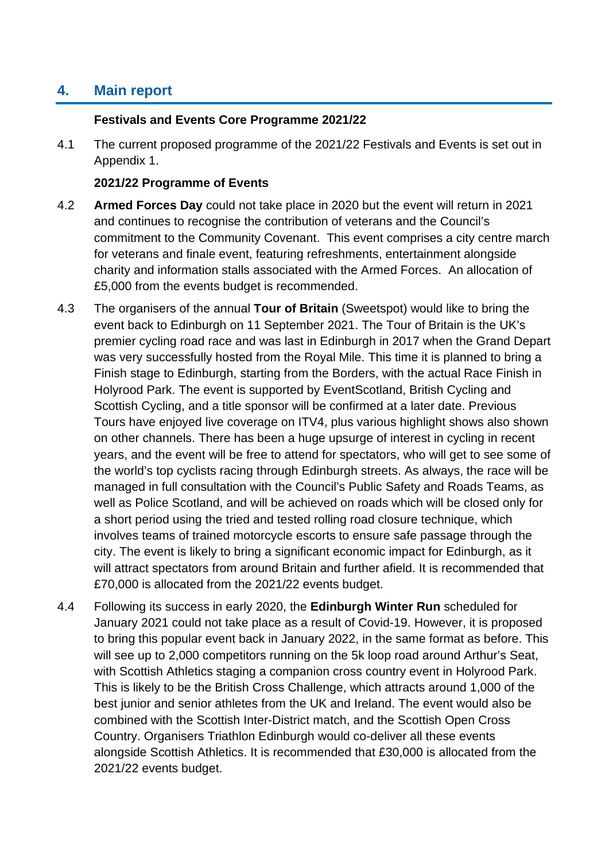# **4. Main report**

#### **Festivals and Events Core Programme 2021/22**

4.1 The current proposed programme of the 2021/22 Festivals and Events is set out in Appendix 1.

#### **2021/22 Programme of Events**

- 4.2 **Armed Forces Day** could not take place in 2020 but the event will return in 2021 and continues to recognise the contribution of veterans and the Council's commitment to the Community Covenant. This event comprises a city centre march for veterans and finale event, featuring refreshments, entertainment alongside charity and information stalls associated with the Armed Forces. An allocation of £5,000 from the events budget is recommended.
- 4.3 The organisers of the annual **Tour of Britain** (Sweetspot) would like to bring the event back to Edinburgh on 11 September 2021. The Tour of Britain is the UK's premier cycling road race and was last in Edinburgh in 2017 when the Grand Depart was very successfully hosted from the Royal Mile. This time it is planned to bring a Finish stage to Edinburgh, starting from the Borders, with the actual Race Finish in Holyrood Park. The event is supported by EventScotland, British Cycling and Scottish Cycling, and a title sponsor will be confirmed at a later date. Previous Tours have enjoyed live coverage on ITV4, plus various highlight shows also shown on other channels. There has been a huge upsurge of interest in cycling in recent years, and the event will be free to attend for spectators, who will get to see some of the world's top cyclists racing through Edinburgh streets. As always, the race will be managed in full consultation with the Council's Public Safety and Roads Teams, as well as Police Scotland, and will be achieved on roads which will be closed only for a short period using the tried and tested rolling road closure technique, which involves teams of trained motorcycle escorts to ensure safe passage through the city. The event is likely to bring a significant economic impact for Edinburgh, as it will attract spectators from around Britain and further afield. It is recommended that £70,000 is allocated from the 2021/22 events budget.
- 4.4 Following its success in early 2020, the **Edinburgh Winter Run** scheduled for January 2021 could not take place as a result of Covid-19. However, it is proposed to bring this popular event back in January 2022, in the same format as before. This will see up to 2,000 competitors running on the 5k loop road around Arthur's Seat, with Scottish Athletics staging a companion cross country event in Holyrood Park. This is likely to be the British Cross Challenge, which attracts around 1,000 of the best junior and senior athletes from the UK and Ireland. The event would also be combined with the Scottish Inter-District match, and the Scottish Open Cross Country. Organisers Triathlon Edinburgh would co-deliver all these events alongside Scottish Athletics. It is recommended that £30,000 is allocated from the 2021/22 events budget.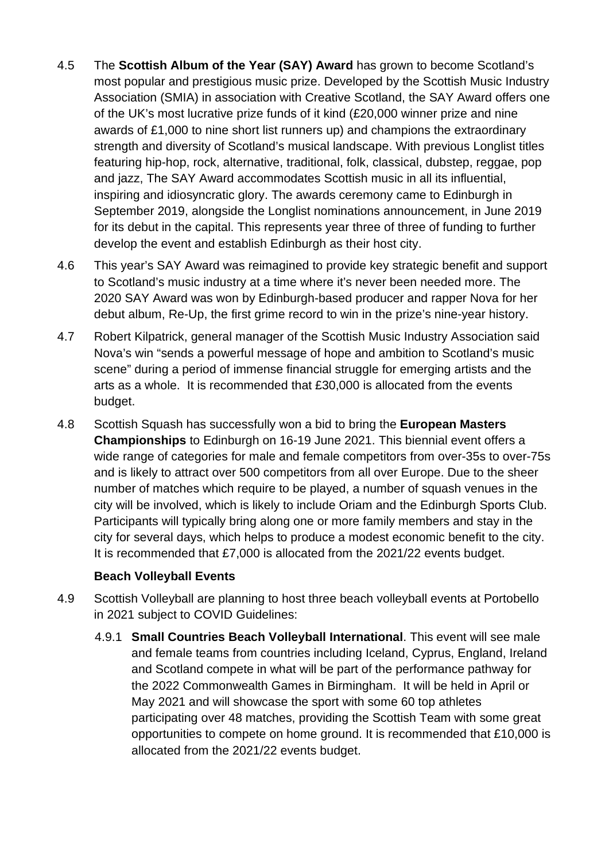- 4.5 The **Scottish Album of the Year (SAY) Award** has grown to become Scotland's most popular and prestigious music prize. Developed by the Scottish Music Industry Association (SMIA) in association with Creative Scotland, the SAY Award offers one of the UK's most lucrative prize funds of it kind (£20,000 winner prize and nine awards of £1,000 to nine short list runners up) and champions the extraordinary strength and diversity of Scotland's musical landscape. With previous Longlist titles featuring hip-hop, rock, alternative, traditional, folk, classical, dubstep, reggae, pop and jazz, The SAY Award accommodates Scottish music in all its influential, inspiring and idiosyncratic glory. The awards ceremony came to Edinburgh in September 2019, alongside the Longlist nominations announcement, in June 2019 for its debut in the capital. This represents year three of three of funding to further develop the event and establish Edinburgh as their host city.
- 4.6 This year's SAY Award was reimagined to provide key strategic benefit and support to Scotland's music industry at a time where it's never been needed more. The 2020 SAY Award was won by Edinburgh-based producer and rapper Nova for her debut album, Re-Up, the first grime record to win in the prize's nine-year history.
- 4.7 Robert Kilpatrick, general manager of the Scottish Music Industry Association said Nova's win "sends a powerful message of hope and ambition to Scotland's music scene" during a period of immense financial struggle for emerging artists and the arts as a whole. It is recommended that £30,000 is allocated from the events budget.
- 4.8 Scottish Squash has successfully won a bid to bring the **European Masters Championships** to Edinburgh on 16-19 June 2021. This biennial event offers a wide range of categories for male and female competitors from over-35s to over-75s and is likely to attract over 500 competitors from all over Europe. Due to the sheer number of matches which require to be played, a number of squash venues in the city will be involved, which is likely to include Oriam and the Edinburgh Sports Club. Participants will typically bring along one or more family members and stay in the city for several days, which helps to produce a modest economic benefit to the city. It is recommended that £7,000 is allocated from the 2021/22 events budget.

#### **Beach Volleyball Events**

- 4.9 Scottish Volleyball are planning to host three beach volleyball events at Portobello in 2021 subject to COVID Guidelines:
	- 4.9.1 **Small Countries Beach Volleyball International**. This event will see male and female teams from countries including Iceland, Cyprus, England, Ireland and Scotland compete in what will be part of the performance pathway for the 2022 Commonwealth Games in Birmingham. It will be held in April or May 2021 and will showcase the sport with some 60 top athletes participating over 48 matches, providing the Scottish Team with some great opportunities to compete on home ground. It is recommended that £10,000 is allocated from the 2021/22 events budget.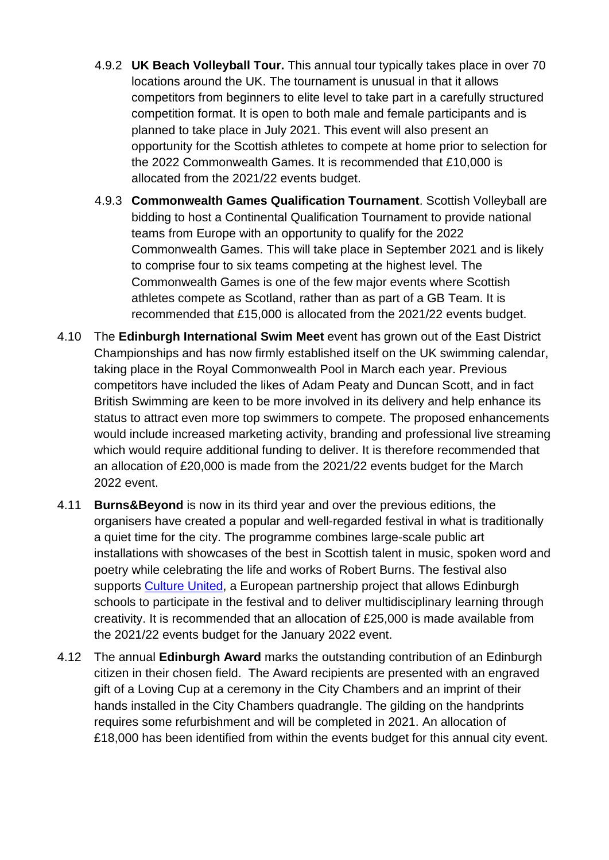- 4.9.2 **UK Beach Volleyball Tour.** This annual tour typically takes place in over 70 locations around the UK. The tournament is unusual in that it allows competitors from beginners to elite level to take part in a carefully structured competition format. It is open to both male and female participants and is planned to take place in July 2021. This event will also present an opportunity for the Scottish athletes to compete at home prior to selection for the 2022 Commonwealth Games. It is recommended that £10,000 is allocated from the 2021/22 events budget.
- 4.9.3 **Commonwealth Games Qualification Tournament**. Scottish Volleyball are bidding to host a Continental Qualification Tournament to provide national teams from Europe with an opportunity to qualify for the 2022 Commonwealth Games. This will take place in September 2021 and is likely to comprise four to six teams competing at the highest level. The Commonwealth Games is one of the few major events where Scottish athletes compete as Scotland, rather than as part of a GB Team. It is recommended that £15,000 is allocated from the 2021/22 events budget.
- 4.10 The **Edinburgh International Swim Meet** event has grown out of the East District Championships and has now firmly established itself on the UK swimming calendar, taking place in the Royal Commonwealth Pool in March each year. Previous competitors have included the likes of Adam Peaty and Duncan Scott, and in fact British Swimming are keen to be more involved in its delivery and help enhance its status to attract even more top swimmers to compete. The proposed enhancements would include increased marketing activity, branding and professional live streaming which would require additional funding to deliver. It is therefore recommended that an allocation of £20,000 is made from the 2021/22 events budget for the March 2022 event.
- 4.11 **Burns&Beyond** is now in its third year and over the previous editions, the organisers have created a popular and well-regarded festival in what is traditionally a quiet time for the city. The programme combines large-scale public art installations with showcases of the best in Scottish talent in music, spoken word and poetry while celebrating the life and works of Robert Burns. The festival also supports [Culture United,](https://cultureunited.eu/) a European partnership project that allows Edinburgh schools to participate in the festival and to deliver multidisciplinary learning through creativity. It is recommended that an allocation of £25,000 is made available from the 2021/22 events budget for the January 2022 event.
- 4.12 The annual **Edinburgh Award** marks the outstanding contribution of an Edinburgh citizen in their chosen field. The Award recipients are presented with an engraved gift of a Loving Cup at a ceremony in the City Chambers and an imprint of their hands installed in the City Chambers quadrangle. The gilding on the handprints requires some refurbishment and will be completed in 2021. An allocation of £18,000 has been identified from within the events budget for this annual city event.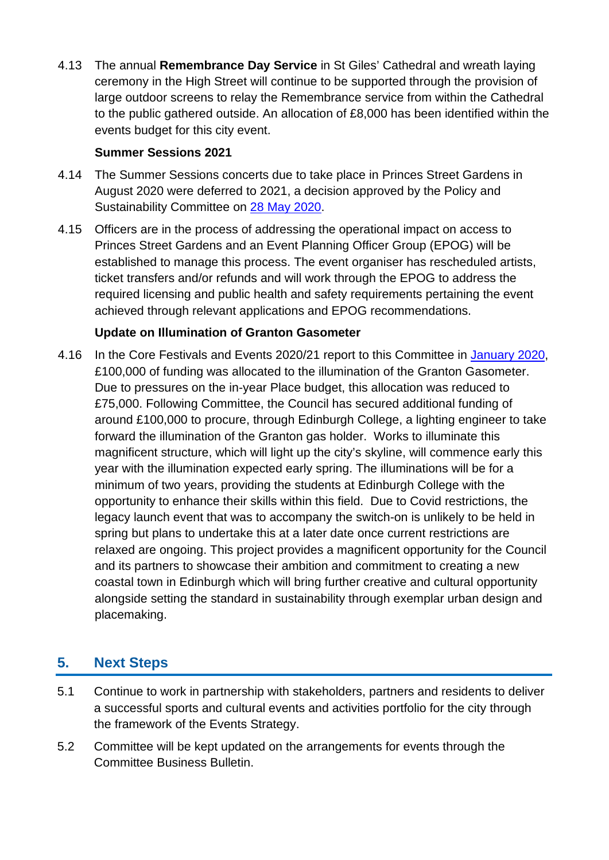4.13 The annual **Remembrance Day Service** in St Giles' Cathedral and wreath laying ceremony in the High Street will continue to be supported through the provision of large outdoor screens to relay the Remembrance service from within the Cathedral to the public gathered outside. An allocation of £8,000 has been identified within the events budget for this city event.

#### **Summer Sessions 2021**

- 4.14 The Summer Sessions concerts due to take place in Princes Street Gardens in August 2020 were deferred to 2021, a decision approved by the Policy and Sustainability Committee on [28 May 2020.](https://democracy.edinburgh.gov.uk/documents/s24122/6.7%20-%20Deferral%20of%20Edinburgh%20Summer%20Sessions%202020%20to%202021.pdf)
- 4.15 Officers are in the process of addressing the operational impact on access to Princes Street Gardens and an Event Planning Officer Group (EPOG) will be established to manage this process. The event organiser has rescheduled artists, ticket transfers and/or refunds and will work through the EPOG to address the required licensing and public health and safety requirements pertaining the event achieved through relevant applications and EPOG recommendations.

#### **Update on Illumination of Granton Gasometer**

4.16 In the Core Festivals and Events 2020/21 report to this Committee in [January 2020,](https://democracy.edinburgh.gov.uk/documents/s13082/Item%209.3%20-%20Core%20Festivals%20and%20Events%20-%20FINAL.pdf) £100,000 of funding was allocated to the illumination of the Granton Gasometer. Due to pressures on the in-year Place budget, this allocation was reduced to £75,000. Following Committee, the Council has secured additional funding of around £100,000 to procure, through Edinburgh College, a lighting engineer to take forward the illumination of the Granton gas holder. Works to illuminate this magnificent structure, which will light up the city's skyline, will commence early this year with the illumination expected early spring. The illuminations will be for a minimum of two years, providing the students at Edinburgh College with the opportunity to enhance their skills within this field. Due to Covid restrictions, the legacy launch event that was to accompany the switch-on is unlikely to be held in spring but plans to undertake this at a later date once current restrictions are relaxed are ongoing. This project provides a magnificent opportunity for the Council and its partners to showcase their ambition and commitment to creating a new coastal town in Edinburgh which will bring further creative and cultural opportunity alongside setting the standard in sustainability through exemplar urban design and placemaking.

# **5. Next Steps**

- 5.1 Continue to work in partnership with stakeholders, partners and residents to deliver a successful sports and cultural events and activities portfolio for the city through the framework of the Events Strategy.
- 5.2 Committee will be kept updated on the arrangements for events through the Committee Business Bulletin.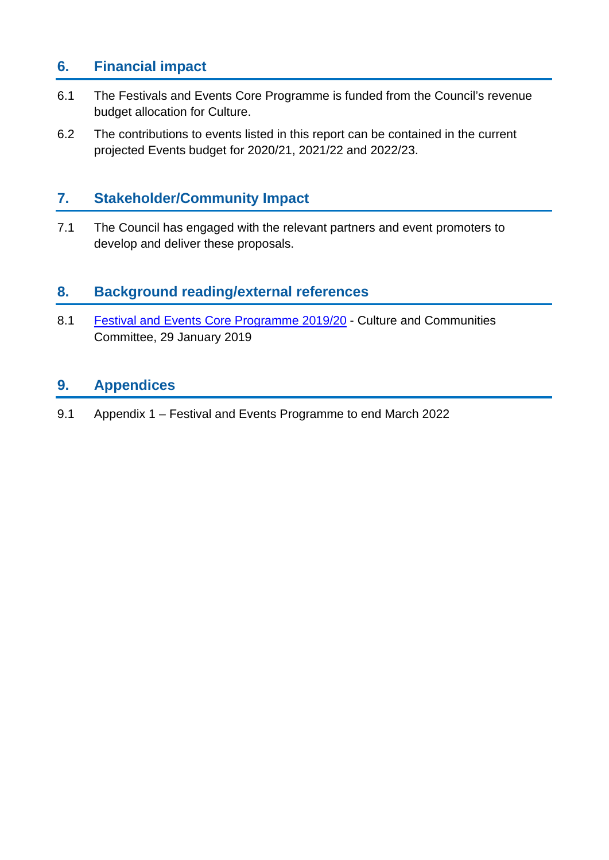# **6. Financial impact**

- 6.1 The Festivals and Events Core Programme is funded from the Council's revenue budget allocation for Culture.
- 6.2 The contributions to events listed in this report can be contained in the current projected Events budget for 2020/21, 2021/22 and 2022/23.

# **7. Stakeholder/Community Impact**

7.1 The Council has engaged with the relevant partners and event promoters to develop and deliver these proposals.

# **8. Background reading/external references**

8.1 [Festival and Events Core Programme 2019/20](https://democracy.edinburgh.gov.uk/Data/Culture%20and%20Communities%20Committee/20190129/Agenda/item_86_-_festival_and_events_core_programme_201920.pdf) - Culture and Communities Committee, 29 January 2019

## **9. Appendices**

9.1 Appendix 1 – Festival and Events Programme to end March 2022